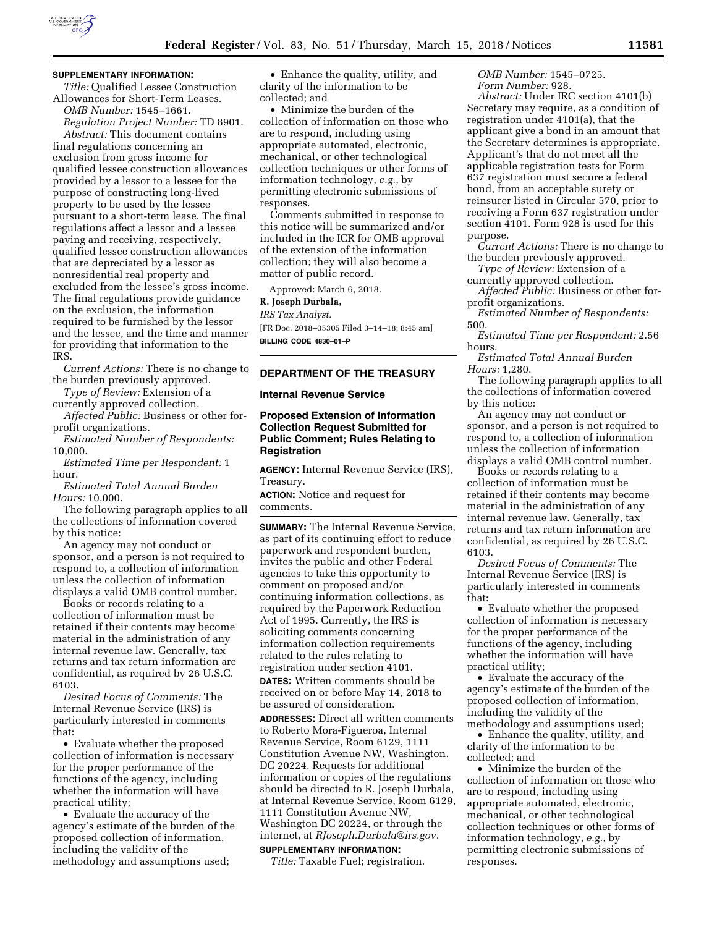

### **SUPPLEMENTARY INFORMATION:**

*Title:* Qualified Lessee Construction Allowances for Short-Term Leases. *OMB Number:* 1545–1661.

*Regulation Project Number:* TD 8901. *Abstract:* This document contains final regulations concerning an exclusion from gross income for qualified lessee construction allowances provided by a lessor to a lessee for the purpose of constructing long-lived property to be used by the lessee pursuant to a short-term lease. The final regulations affect a lessor and a lessee paying and receiving, respectively, qualified lessee construction allowances that are depreciated by a lessor as nonresidential real property and excluded from the lessee's gross income. The final regulations provide guidance on the exclusion, the information required to be furnished by the lessor and the lessee, and the time and manner for providing that information to the IRS.

*Current Actions:* There is no change to the burden previously approved.

*Type of Review:* Extension of a currently approved collection.

*Affected Public:* Business or other forprofit organizations.

*Estimated Number of Respondents:*  10,000.

*Estimated Time per Respondent:* 1 hour.

*Estimated Total Annual Burden Hours:* 10,000.

The following paragraph applies to all the collections of information covered by this notice:

An agency may not conduct or sponsor, and a person is not required to respond to, a collection of information unless the collection of information displays a valid OMB control number.

Books or records relating to a collection of information must be retained if their contents may become material in the administration of any internal revenue law. Generally, tax returns and tax return information are confidential, as required by 26 U.S.C. 6103.

*Desired Focus of Comments:* The Internal Revenue Service (IRS) is particularly interested in comments that:

• Evaluate whether the proposed collection of information is necessary for the proper performance of the functions of the agency, including whether the information will have practical utility;

• Evaluate the accuracy of the agency's estimate of the burden of the proposed collection of information, including the validity of the methodology and assumptions used;

• Enhance the quality, utility, and clarity of the information to be collected; and

• Minimize the burden of the collection of information on those who are to respond, including using appropriate automated, electronic, mechanical, or other technological collection techniques or other forms of information technology, *e.g.,* by permitting electronic submissions of responses.

Comments submitted in response to this notice will be summarized and/or included in the ICR for OMB approval of the extension of the information collection; they will also become a matter of public record.

Approved: March 6, 2018.

#### **R. Joseph Durbala,**

*IRS Tax Analyst.* 

[FR Doc. 2018–05305 Filed 3–14–18; 8:45 am] **BILLING CODE 4830–01–P** 

## **DEPARTMENT OF THE TREASURY**

### **Internal Revenue Service**

## **Proposed Extension of Information Collection Request Submitted for Public Comment; Rules Relating to Registration**

**AGENCY:** Internal Revenue Service (IRS), Treasury.

**ACTION:** Notice and request for comments.

**SUMMARY:** The Internal Revenue Service, as part of its continuing effort to reduce paperwork and respondent burden, invites the public and other Federal agencies to take this opportunity to comment on proposed and/or continuing information collections, as required by the Paperwork Reduction Act of 1995. Currently, the IRS is soliciting comments concerning information collection requirements related to the rules relating to registration under section 4101.

**DATES:** Written comments should be received on or before May 14, 2018 to be assured of consideration.

**ADDRESSES:** Direct all written comments to Roberto Mora-Figueroa, Internal Revenue Service, Room 6129, 1111 Constitution Avenue NW, Washington, DC 20224. Requests for additional information or copies of the regulations should be directed to R. Joseph Durbala, at Internal Revenue Service, Room 6129, 1111 Constitution Avenue NW, Washington DC 20224, or through the internet, at *[RJoseph.Durbala@irs.gov.](mailto:RJoseph.Durbala@irs.gov)* 

# **SUPPLEMENTARY INFORMATION:**

*Title:* Taxable Fuel; registration.

*OMB Number:* 1545–0725. *Form Number:* 928.

*Abstract:* Under IRC section 4101(b) Secretary may require, as a condition of registration under 4101(a), that the applicant give a bond in an amount that the Secretary determines is appropriate. Applicant's that do not meet all the applicable registration tests for Form 637 registration must secure a federal bond, from an acceptable surety or reinsurer listed in Circular 570, prior to receiving a Form 637 registration under section 4101. Form 928 is used for this purpose.

*Current Actions:* There is no change to the burden previously approved.

*Type of Review:* Extension of a currently approved collection.

*Affected Public:* Business or other forprofit organizations.

*Estimated Number of Respondents:*  500.

*Estimated Time per Respondent:* 2.56 hours.

*Estimated Total Annual Burden Hours:* 1,280.

The following paragraph applies to all the collections of information covered by this notice:

An agency may not conduct or sponsor, and a person is not required to respond to, a collection of information unless the collection of information displays a valid OMB control number.

Books or records relating to a collection of information must be retained if their contents may become material in the administration of any internal revenue law. Generally, tax returns and tax return information are confidential, as required by 26 U.S.C. 6103.

*Desired Focus of Comments:* The Internal Revenue Service (IRS) is particularly interested in comments that:

• Evaluate whether the proposed collection of information is necessary for the proper performance of the functions of the agency, including whether the information will have practical utility;

• Evaluate the accuracy of the agency's estimate of the burden of the proposed collection of information, including the validity of the methodology and assumptions used;

• Enhance the quality, utility, and clarity of the information to be collected; and

• Minimize the burden of the collection of information on those who are to respond, including using appropriate automated, electronic, mechanical, or other technological collection techniques or other forms of information technology, *e.g.,* by permitting electronic submissions of responses.